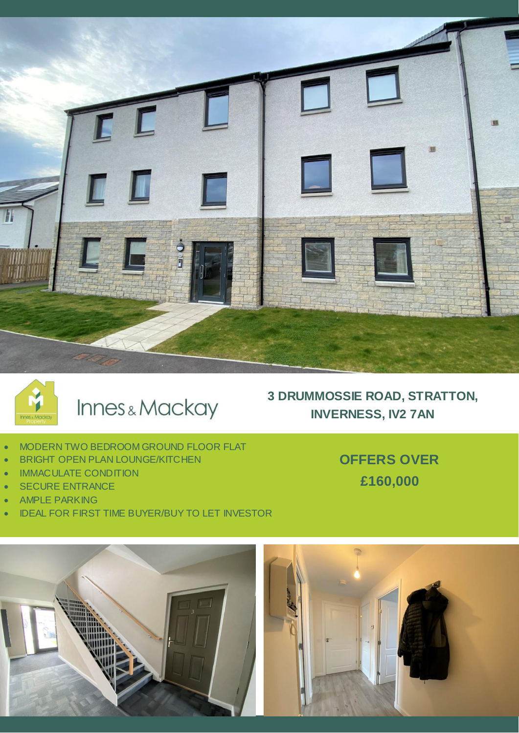



# Innes & Mackay

## **3 DRUMMOSSIE ROAD, STRATTON, INVERNESS, IV2 7AN**

- MODERN TWO BEDROOM GROUND FLOOR FLAT
- **BRIGHT OPEN PLAN LOUNGE/KITCHEN**
- **IMMACULATE CONDITION**
- SECURE ENTRANCE
- AMPLE PARKING
- IDEAL FOR FIRST TIME BUYER/BUY TO LET INVESTOR

**OFFERS OVER £160,000**

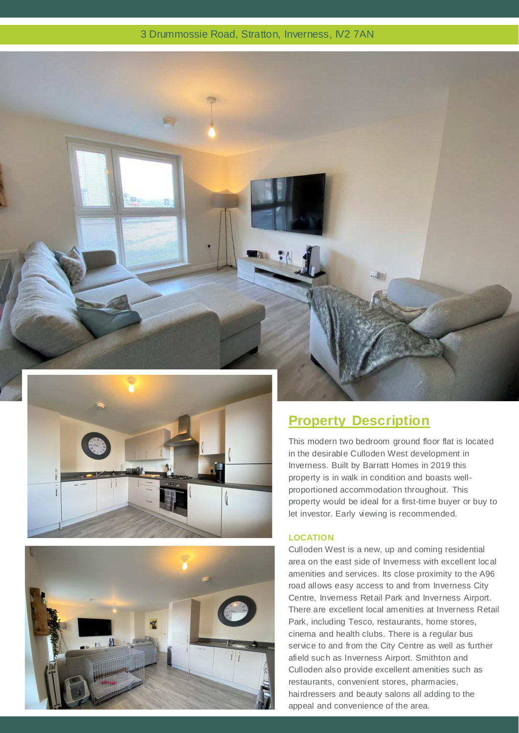#### 3 Drummossie Road, Stratton, Inverness, IV2 7AN







### **Property Description**

This modern two bedroom ground floor flat is located in the desirable Culloden West development in Inverness. Built by Barratt Homes in 2019 this property is in walk in condition and boasts wellproportioned accommodation throughout. This property would be ideal for a first-time buyer or buy to let investor. Early viewing is recommended.

#### **LOCATION**

Culloden West is a new, up and coming residential area on the east side of Inverness with excellent local amenities and services. Its close proximity to the A96 road allows easy access to and from Inverness City Centre, Inverness Retail Park and Inverness Airport. There are excellent local amenities at Inverness Retail Park, including Tesco, restaurants, home stores, cinema and health clubs. There is a regular bus service to and from the City Centre as well as further afield such as Inverness Airport. Smithton and Culloden also provide excellent amenities such as restaurants, convenient stores, pharmacies, hairdressers and beauty salons all adding to the appeal and convenience of the area.